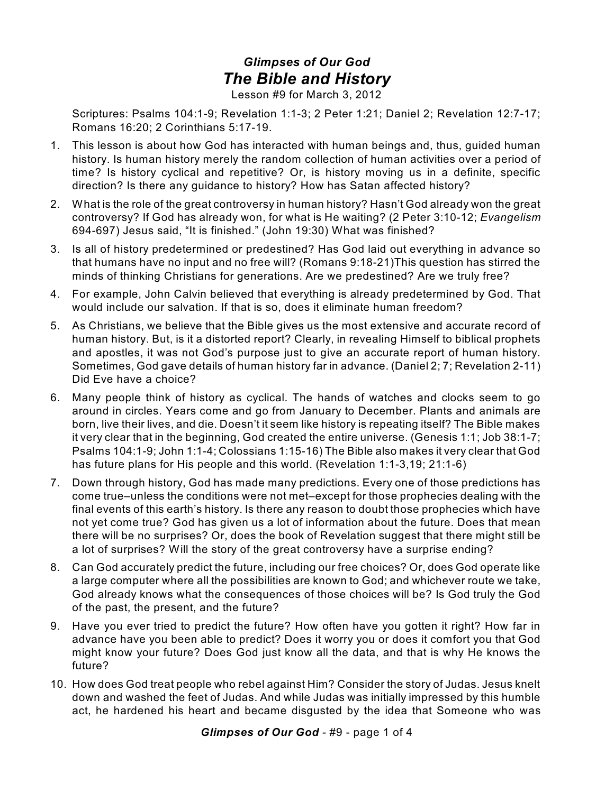## *Glimpses of Our God The Bible and History*

Lesson #9 for March 3, 2012

Scriptures: Psalms 104:1-9; Revelation 1:1-3; 2 Peter 1:21; Daniel 2; Revelation 12:7-17; Romans 16:20; 2 Corinthians 5:17-19.

- 1. This lesson is about how God has interacted with human beings and, thus, guided human history. Is human history merely the random collection of human activities over a period of time? Is history cyclical and repetitive? Or, is history moving us in a definite, specific direction? Is there any guidance to history? How has Satan affected history?
- 2. What is the role of the great controversy in human history? Hasn't God already won the great controversy? If God has already won, for what is He waiting? (2 Peter 3:10-12; *Evangelism* 694-697) Jesus said, "It is finished." (John 19:30) What was finished?
- 3. Is all of history predetermined or predestined? Has God laid out everything in advance so that humans have no input and no free will? (Romans 9:18-21)This question has stirred the minds of thinking Christians for generations. Are we predestined? Are we truly free?
- 4. For example, John Calvin believed that everything is already predetermined by God. That would include our salvation. If that is so, does it eliminate human freedom?
- 5. As Christians, we believe that the Bible gives us the most extensive and accurate record of human history. But, is it a distorted report? Clearly, in revealing Himself to biblical prophets and apostles, it was not God's purpose just to give an accurate report of human history. Sometimes, God gave details of human history far in advance. (Daniel 2; 7; Revelation 2-11) Did Eve have a choice?
- 6. Many people think of history as cyclical. The hands of watches and clocks seem to go around in circles. Years come and go from January to December. Plants and animals are born, live their lives, and die. Doesn't it seem like history is repeating itself? The Bible makes it very clear that in the beginning, God created the entire universe. (Genesis 1:1; Job 38:1-7; Psalms 104:1-9; John 1:1-4; Colossians 1:15-16) The Bible also makes it very clear that God has future plans for His people and this world. (Revelation 1:1-3,19; 21:1-6)
- 7. Down through history, God has made many predictions. Every one of those predictions has come true–unless the conditions were not met–except for those prophecies dealing with the final events of this earth's history. Is there any reason to doubt those prophecies which have not yet come true? God has given us a lot of information about the future. Does that mean there will be no surprises? Or, does the book of Revelation suggest that there might still be a lot of surprises? Will the story of the great controversy have a surprise ending?
- 8. Can God accurately predict the future, including our free choices? Or, does God operate like a large computer where all the possibilities are known to God; and whichever route we take, God already knows what the consequences of those choices will be? Is God truly the God of the past, the present, and the future?
- 9. Have you ever tried to predict the future? How often have you gotten it right? How far in advance have you been able to predict? Does it worry you or does it comfort you that God might know your future? Does God just know all the data, and that is why He knows the future?
- 10. How does God treat people who rebel against Him? Consider the story of Judas. Jesus knelt down and washed the feet of Judas. And while Judas was initially impressed by this humble act, he hardened his heart and became disgusted by the idea that Someone who was

*Glimpses of Our God* - #9 - page 1 of 4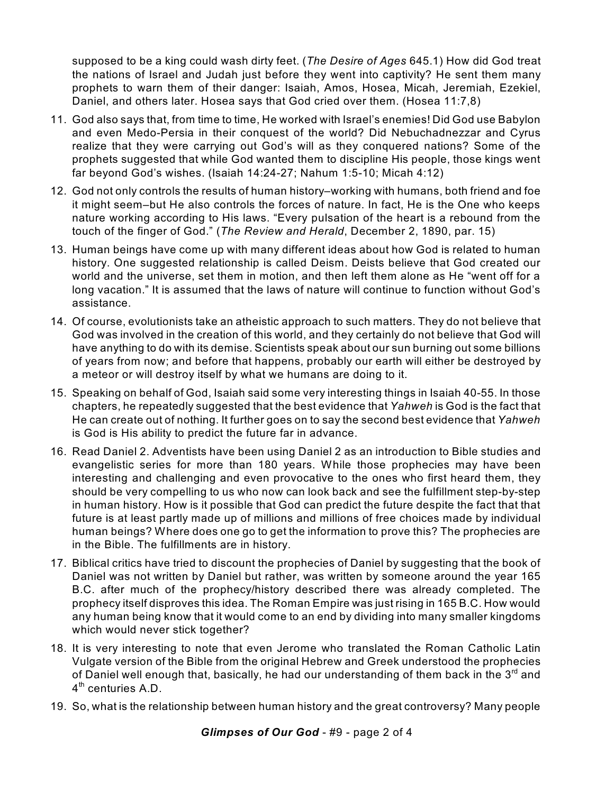supposed to be a king could wash dirty feet. (*The Desire of Ages* 645.1) How did God treat the nations of Israel and Judah just before they went into captivity? He sent them many prophets to warn them of their danger: Isaiah, Amos, Hosea, Micah, Jeremiah, Ezekiel, Daniel, and others later. Hosea says that God cried over them. (Hosea 11:7,8)

- 11. God also says that, from time to time, He worked with Israel's enemies! Did God use Babylon and even Medo-Persia in their conquest of the world? Did Nebuchadnezzar and Cyrus realize that they were carrying out God's will as they conquered nations? Some of the prophets suggested that while God wanted them to discipline His people, those kings went far beyond God's wishes. (Isaiah 14:24-27; Nahum 1:5-10; Micah 4:12)
- 12. God not only controls the results of human history–working with humans, both friend and foe it might seem–but He also controls the forces of nature. In fact, He is the One who keeps nature working according to His laws. "Every pulsation of the heart is a rebound from the touch of the finger of God." (*The Review and Herald*, December 2, 1890, par. 15)
- 13. Human beings have come up with many different ideas about how God is related to human history. One suggested relationship is called Deism. Deists believe that God created our world and the universe, set them in motion, and then left them alone as He "went off for a long vacation." It is assumed that the laws of nature will continue to function without God's assistance.
- 14. Of course, evolutionists take an atheistic approach to such matters. They do not believe that God was involved in the creation of this world, and they certainly do not believe that God will have anything to do with its demise. Scientists speak about our sun burning out some billions of years from now; and before that happens, probably our earth will either be destroyed by a meteor or will destroy itself by what we humans are doing to it.
- 15. Speaking on behalf of God, Isaiah said some very interesting things in Isaiah 40-55. In those chapters, he repeatedly suggested that the best evidence that *Yahweh* is God is the fact that He can create out of nothing. It further goes on to say the second best evidence that *Yahweh* is God is His ability to predict the future far in advance.
- 16. Read Daniel 2. Adventists have been using Daniel 2 as an introduction to Bible studies and evangelistic series for more than 180 years. While those prophecies may have been interesting and challenging and even provocative to the ones who first heard them, they should be very compelling to us who now can look back and see the fulfillment step-by-step in human history. How is it possible that God can predict the future despite the fact that that future is at least partly made up of millions and millions of free choices made by individual human beings? Where does one go to get the information to prove this? The prophecies are in the Bible. The fulfillments are in history.
- 17. Biblical critics have tried to discount the prophecies of Daniel by suggesting that the book of Daniel was not written by Daniel but rather, was written by someone around the year 165 B.C. after much of the prophecy/history described there was already completed. The prophecy itself disproves this idea. The Roman Empire was just rising in 165 B.C. How would any human being know that it would come to an end by dividing into many smaller kingdoms which would never stick together?
- 18. It is very interesting to note that even Jerome who translated the Roman Catholic Latin Vulgate version of the Bible from the original Hebrew and Greek understood the prophecies of Daniel well enough that, basically, he had our understanding of them back in the  $3^{\mathsf{rd}}$  and 4<sup>th</sup> centuries A.D.
- 19. So, what is the relationship between human history and the great controversy? Many people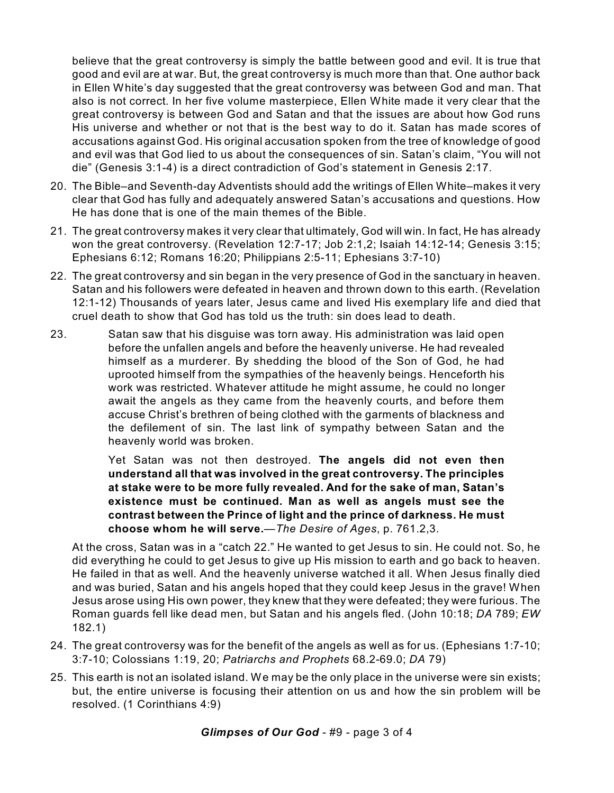believe that the great controversy is simply the battle between good and evil. It is true that good and evil are at war. But, the great controversy is much more than that. One author back in Ellen White's day suggested that the great controversy was between God and man. That also is not correct. In her five volume masterpiece, Ellen White made it very clear that the great controversy is between God and Satan and that the issues are about how God runs His universe and whether or not that is the best way to do it. Satan has made scores of accusations against God. His original accusation spoken from the tree of knowledge of good and evil was that God lied to us about the consequences of sin. Satan's claim, "You will not die" (Genesis 3:1-4) is a direct contradiction of God's statement in Genesis 2:17.

- 20. The Bible–and Seventh-day Adventists should add the writings of Ellen White–makes it very clear that God has fully and adequately answered Satan's accusations and questions. How He has done that is one of the main themes of the Bible.
- 21. The great controversy makes it very clear that ultimately, God will win. In fact, He has already won the great controversy. (Revelation 12:7-17; Job 2:1,2; Isaiah 14:12-14; Genesis 3:15; Ephesians 6:12; Romans 16:20; Philippians 2:5-11; Ephesians 3:7-10)
- 22. The great controversy and sin began in the very presence of God in the sanctuary in heaven. Satan and his followers were defeated in heaven and thrown down to this earth. (Revelation 12:1-12) Thousands of years later, Jesus came and lived His exemplary life and died that cruel death to show that God has told us the truth: sin does lead to death.
- 23. Satan saw that his disguise was torn away. His administration was laid open before the unfallen angels and before the heavenly universe. He had revealed himself as a murderer. By shedding the blood of the Son of God, he had uprooted himself from the sympathies of the heavenly beings. Henceforth his work was restricted. Whatever attitude he might assume, he could no longer await the angels as they came from the heavenly courts, and before them accuse Christ's brethren of being clothed with the garments of blackness and the defilement of sin. The last link of sympathy between Satan and the heavenly world was broken.

Yet Satan was not then destroyed. **The angels did not even then understand all that was involved in the great controversy. The principles at stake were to be more fully revealed. And for the sake of man, Satan's existence must be continued. Man as well as angels must see the contrast between the Prince of light and the prince of darkness. He must choose whom he will serve.**—*The Desire of Ages*, p. 761.2,3.

At the cross, Satan was in a "catch 22." He wanted to get Jesus to sin. He could not. So, he did everything he could to get Jesus to give up His mission to earth and go back to heaven. He failed in that as well. And the heavenly universe watched it all. When Jesus finally died and was buried, Satan and his angels hoped that they could keep Jesus in the grave! When Jesus arose using His own power, they knew that they were defeated; they were furious. The Roman guards fell like dead men, but Satan and his angels fled. (John 10:18; *DA* 789; *EW* 182.1)

- 24. The great controversy was for the benefit of the angels as well as for us. (Ephesians 1:7-10; 3:7-10; Colossians 1:19, 20; *Patriarchs and Prophets* 68.2-69.0; *DA* 79)
- 25. This earth is not an isolated island. We may be the only place in the universe were sin exists; but, the entire universe is focusing their attention on us and how the sin problem will be resolved. (1 Corinthians 4:9)